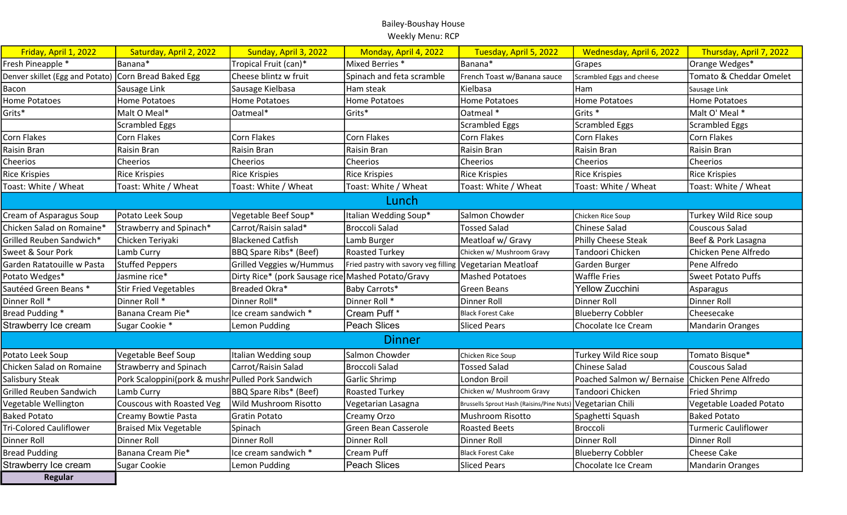| Friday, April 1, 2022           | Saturday, April 2, 2022                           | Sunday, April 3, 2022                              | Monday, April 4, 2022                | Tuesday, April 5, 2022                                     | Wednesday, April 6, 2022                        | Thursday, April 7, 2022     |
|---------------------------------|---------------------------------------------------|----------------------------------------------------|--------------------------------------|------------------------------------------------------------|-------------------------------------------------|-----------------------------|
| Fresh Pineapple *               | Banana*                                           | Tropical Fruit (can)*                              | Mixed Berries *                      | Banana*                                                    | Grapes                                          | Orange Wedges*              |
| Denver skillet (Egg and Potato) | Corn Bread Baked Egg                              | Cheese blintz w fruit                              | Spinach and feta scramble            | French Toast w/Banana sauce                                | Scrambled Eggs and cheese                       | Tomato & Cheddar Omelet     |
| Bacon                           | Sausage Link                                      | Sausage Kielbasa                                   | Ham steak                            | Kielbasa                                                   | Ham                                             | Sausage Link                |
| <b>Home Potatoes</b>            | <b>Home Potatoes</b>                              | Home Potatoes                                      | <b>Home Potatoes</b>                 | <b>Home Potatoes</b>                                       | Home Potatoes                                   | <b>Home Potatoes</b>        |
| Grits*                          | Malt O Meal*                                      | Oatmeal*                                           | Grits*                               | Oatmeal *                                                  | Grits *                                         | Malt O' Meal *              |
|                                 | <b>Scrambled Eggs</b>                             |                                                    |                                      | <b>Scrambled Eggs</b>                                      | Scrambled Eggs                                  | <b>Scrambled Eggs</b>       |
| <b>Corn Flakes</b>              | Corn Flakes                                       | Corn Flakes                                        | Corn Flakes                          | Corn Flakes                                                | Corn Flakes                                     | Corn Flakes                 |
| <b>Raisin Bran</b>              | Raisin Bran                                       | Raisin Bran                                        | Raisin Bran                          | Raisin Bran                                                | Raisin Bran                                     | Raisin Bran                 |
| Cheerios                        | Cheerios                                          | Cheerios                                           | Cheerios                             | Cheerios                                                   | Cheerios                                        | Cheerios                    |
| <b>Rice Krispies</b>            | <b>Rice Krispies</b>                              | <b>Rice Krispies</b>                               | <b>Rice Krispies</b>                 | <b>Rice Krispies</b>                                       | Rice Krispies                                   | <b>Rice Krispies</b>        |
| Toast: White / Wheat            | Toast: White / Wheat                              | Toast: White / Wheat                               | Toast: White / Wheat                 | Toast: White / Wheat                                       | Toast: White / Wheat                            | Toast: White / Wheat        |
|                                 |                                                   |                                                    | Lunch                                |                                                            |                                                 |                             |
| Cream of Asparagus Soup         | Potato Leek Soup                                  | Vegetable Beef Soup*                               | Italian Wedding Soup*                | Salmon Chowder                                             | Chicken Rice Soup                               | Turkey Wild Rice soup       |
| Chicken Salad on Romaine*       | Strawberry and Spinach*                           | Carrot/Raisin salad*                               | <b>Broccoli Salad</b>                | <b>Tossed Salad</b>                                        | Chinese Salad                                   | <b>Couscous Salad</b>       |
| Grilled Reuben Sandwich*        | Chicken Teriyaki                                  | Blackened Catfish                                  | Lamb Burger                          | Meatloaf w/ Gravy                                          | Philly Cheese Steak                             | Beef & Pork Lasagna         |
| Sweet & Sour Pork               | Lamb Curry                                        | BBQ Spare Ribs* (Beef)                             | Roasted Turkey                       | Chicken w/ Mushroom Gravy                                  | Tandoori Chicken                                | Chicken Pene Alfredo        |
| Garden Ratatouille w Pasta      | <b>Stuffed Peppers</b>                            | Grilled Veggies w/Hummus                           | Fried pastry with savory veg filling | Vegetarian Meatloaf                                        | Garden Burger                                   | Pene Alfredo                |
| Potato Wedges*                  | Jasmine rice*                                     | Dirty Rice* (pork Sausage rice Mashed Potato/Gravy |                                      | <b>Mashed Potatoes</b>                                     | Waffle Fries                                    | Sweet Potato Puffs          |
| Sautéed Green Beans *           | <b>Stir Fried Vegetables</b>                      | Breaded Okra*                                      | Baby Carrots*                        | Green Beans                                                | <b>Yellow Zucchini</b>                          | Asparagus                   |
| Dinner Roll <sup>*</sup>        | Dinner Roll *                                     | Dinner Roll*                                       | Dinner Roll *                        | <b>Dinner Roll</b>                                         | Dinner Roll                                     | Dinner Roll                 |
| Bread Pudding *                 | Banana Cream Pie*                                 | Ice cream sandwich *                               | Cream Puff *                         | <b>Black Forest Cake</b>                                   | <b>Blueberry Cobbler</b>                        | Cheesecake                  |
| Strawberry Ice cream            | Sugar Cookie *                                    | Lemon Pudding                                      | Peach Slices                         | <b>Sliced Pears</b>                                        | Chocolate Ice Cream                             | <b>Mandarin Oranges</b>     |
|                                 |                                                   |                                                    | <b>Dinner</b>                        |                                                            |                                                 |                             |
| Potato Leek Soup                | Vegetable Beef Soup                               | Italian Wedding soup                               | Salmon Chowder                       | Chicken Rice Soup                                          | Turkey Wild Rice soup                           | Tomato Bisque*              |
| Chicken Salad on Romaine        | <b>Strawberry and Spinach</b>                     | Carrot/Raisin Salad                                | <b>Broccoli Salad</b>                | <b>Tossed Salad</b>                                        | Chinese Salad                                   | Couscous Salad              |
| Salisbury Steak                 | Pork Scaloppini(pork & mushr Pulled Pork Sandwich |                                                    | Garlic Shrimp                        | London Broil                                               | Poached Salmon w/ Bernaise Chicken Pene Alfredo |                             |
| <b>Grilled Reuben Sandwich</b>  | Lamb Curry                                        | BBQ Spare Ribs* (Beef)                             | <b>Roasted Turkey</b>                | Chicken w/ Mushroom Gravy                                  | Tandoori Chicken                                | <b>Fried Shrimp</b>         |
| Vegetable Wellington            | Couscous with Roasted Veg                         | Wild Mushroom Risotto                              | Vegetarian Lasagna                   | Brussells Sprout Hash (Raisins/Pine Nuts) Vegetarian Chili |                                                 | Vegetable Loaded Potato     |
| <b>Baked Potato</b>             | Creamy Bowtie Pasta                               | Gratin Potato                                      | Creamy Orzo                          | Mushroom Risotto                                           | Spaghetti Squash                                | <b>Baked Potato</b>         |
| <b>Tri-Colored Cauliflower</b>  | <b>Braised Mix Vegetable</b>                      | Spinach                                            | Green Bean Casserole                 | <b>Roasted Beets</b>                                       | <b>Broccoli</b>                                 | <b>Turmeric Cauliflower</b> |
| <b>Dinner Roll</b>              | Dinner Roll                                       | Dinner Roll                                        | Dinner Roll                          | Dinner Roll                                                | Dinner Roll                                     | Dinner Roll                 |
| <b>Bread Pudding</b>            | Banana Cream Pie*                                 | Ice cream sandwich *                               | <b>Cream Puff</b>                    | Black Forest Cake                                          | <b>Blueberry Cobbler</b>                        | <b>Cheese Cake</b>          |
| Strawberry Ice cream            | <b>Sugar Cookie</b>                               | Lemon Pudding                                      | <b>Peach Slices</b>                  | <b>Sliced Pears</b>                                        | Chocolate Ice Cream                             | <b>Mandarin Oranges</b>     |
| Regular                         |                                                   |                                                    |                                      |                                                            |                                                 |                             |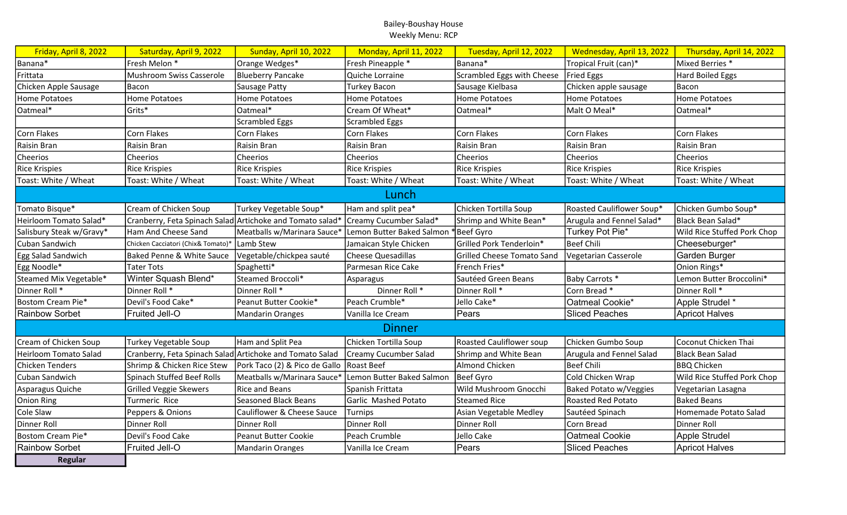| Friday, April 8, 2022    | Saturday, April 9, 2022                                   | Sunday, April 10, 2022                   | Monday, April 11, 2022    | Tuesday, April 12, 2022           | Wednesday, April 13, 2022 | Thursday, April 14, 2022    |
|--------------------------|-----------------------------------------------------------|------------------------------------------|---------------------------|-----------------------------------|---------------------------|-----------------------------|
| Banana*                  | Fresh Melon *                                             | Orange Wedges*                           | Fresh Pineapple *         | Banana*                           | Tropical Fruit (can)*     | Mixed Berries *             |
| Frittata                 | Mushroom Swiss Casserole                                  | Blueberry Pancake                        | Quiche Lorraine           | Scrambled Eggs with Cheese        | <b>Fried Eggs</b>         | <b>Hard Boiled Eggs</b>     |
| Chicken Apple Sausage    | Bacon                                                     | Sausage Patty                            | Turkey Bacon              | Sausage Kielbasa                  | Chicken apple sausage     | Bacon                       |
| Home Potatoes            | <b>Home Potatoes</b>                                      | <b>Home Potatoes</b>                     | <b>Home Potatoes</b>      | Home Potatoes                     | Home Potatoes             | <b>Home Potatoes</b>        |
| Oatmeal*                 | Grits*                                                    | Oatmeal*                                 | Cream Of Wheat*           | Oatmeal*                          | Malt O Meal*              | Oatmeal*                    |
|                          |                                                           | <b>Scrambled Eggs</b>                    | <b>Scrambled Eggs</b>     |                                   |                           |                             |
| Corn Flakes              | Corn Flakes                                               | Corn Flakes                              | Corn Flakes               | Corn Flakes                       | Corn Flakes               | Corn Flakes                 |
| Raisin Bran              | Raisin Bran                                               | Raisin Bran                              | Raisin Bran               | Raisin Bran                       | Raisin Bran               | Raisin Bran                 |
| Cheerios                 | Cheerios                                                  | Cheerios                                 | Cheerios                  | Cheerios                          | Cheerios                  | Cheerios                    |
| <b>Rice Krispies</b>     | <b>Rice Krispies</b>                                      | <b>Rice Krispies</b>                     | <b>Rice Krispies</b>      | <b>Rice Krispies</b>              | <b>Rice Krispies</b>      | <b>Rice Krispies</b>        |
| Toast: White / Wheat     | Toast: White / Wheat                                      | Toast: White / Wheat                     | Toast: White / Wheat      | Toast: White / Wheat              | Toast: White / Wheat      | Toast: White / Wheat        |
|                          |                                                           |                                          | Lunch                     |                                   |                           |                             |
| Tomato Bisque*           | Cream of Chicken Soup                                     | Turkey Vegetable Soup*                   | Ham and split pea*        | Chicken Tortilla Soup             | Roasted Cauliflower Soup* | Chicken Gumbo Soup*         |
| Heirloom Tomato Salad*   | Cranberry, Feta Spinach Salad Artichoke and Tomato salad* |                                          | Creamy Cucumber Salad*    | Shrimp and White Bean*            | Arugula and Fennel Salad* | Black Bean Salad*           |
| Salisbury Steak w/Gravy* | Ham And Cheese Sand                                       | Meatballs w/Marinara Sauce*              | Lemon Butter Baked Salmon | Beef Gyro                         | Turkey Pot Pie*           | Wild Rice Stuffed Pork Chop |
| Cuban Sandwich           | Chicken Cacciatori (Chix& Tomato)*                        | Lamb Stew                                | Jamaican Style Chicken    | Grilled Pork Tenderloin*          | <b>Beef Chili</b>         | Cheeseburger*               |
| Egg Salad Sandwich       | Baked Penne & White Sauce                                 | Vegetable/chickpea sauté                 | <b>Cheese Quesadillas</b> | <b>Grilled Cheese Tomato Sand</b> | Vegetarian Casserole      | Garden Burger               |
| Egg Noodle*              | <b>Tater Tots</b>                                         | Spaghetti*                               | Parmesan Rice Cake        | French Fries*                     |                           | Onion Rings*                |
| Steamed Mix Vegetable*   | Winter Squash Blend*                                      | Steamed Broccoli*                        | Asparagus                 | Sautéed Green Beans               | Baby Carrots *            | Lemon Butter Broccolini*    |
| Dinner Roll *            | Dinner Roll *                                             | Dinner Roll *                            | Dinner Roll *             | Dinner Roll *                     | Corn Bread *              | Dinner Roll *               |
| Bostom Cream Pie*        | Devil's Food Cake*                                        | Peanut Butter Cookie*                    | Peach Crumble*            | Jello Cake*                       | Oatmeal Cookie*           | Apple Strudel *             |
| <b>Rainbow Sorbet</b>    | Fruited Jell-O                                            | <b>Mandarin Oranges</b>                  | Vanilla Ice Cream         | Pears                             | <b>Sliced Peaches</b>     | <b>Apricot Halves</b>       |
|                          |                                                           |                                          | <b>Dinner</b>             |                                   |                           |                             |
| Cream of Chicken Soup    | Turkey Vegetable Soup                                     | Ham and Split Pea                        | Chicken Tortilla Soup     | <b>Roasted Cauliflower soup</b>   | Chicken Gumbo Soup        | Coconut Chicken Thai        |
| Heirloom Tomato Salad    | Cranberry, Feta Spinach Salad Artichoke and Tomato Salad  |                                          | Creamy Cucumber Salad     | Shrimp and White Bean             | Arugula and Fennel Salad  | Black Bean Salad            |
| <b>Chicken Tenders</b>   | Shrimp & Chicken Rice Stew                                | Pork Taco (2) & Pico de Gallo Roast Beef |                           | Almond Chicken                    | <b>Beef Chili</b>         | <b>BBQ Chicken</b>          |
| Cuban Sandwich           | <b>Spinach Stuffed Beef Rolls</b>                         | Meatballs w/Marinara Sauce*              | Lemon Butter Baked Salmon | Beef Gyro                         | Cold Chicken Wrap         | Wild Rice Stuffed Pork Chop |
| Asparagus Quiche         | <b>Grilled Veggie Skewers</b>                             | <b>Rice and Beans</b>                    | Spanish Frittata          | Wild Mushroom Gnocchi             | Baked Potato w/Veggies    | Vegetarian Lasagna          |
| Onion Ring               | Turmeric Rice                                             | <b>Seasoned Black Beans</b>              | Garlic Mashed Potato      | <b>Steamed Rice</b>               | Roasted Red Potato        | <b>Baked Beans</b>          |
| Cole Slaw                | Peppers & Onions                                          | Cauliflower & Cheese Sauce               | Turnips                   | Asian Vegetable Medley            | Sautéed Spinach           | Homemade Potato Salad       |
| Dinner Roll              | Dinner Roll                                               | Dinner Roll                              | Dinner Roll               | Dinner Roll                       | Corn Bread                | Dinner Roll                 |
| Bostom Cream Pie*        | Devil's Food Cake                                         | Peanut Butter Cookie                     | Peach Crumble             | Jello Cake                        | Oatmeal Cookie            | Apple Strudel               |
| <b>Rainbow Sorbet</b>    | Fruited Jell-O                                            | <b>Mandarin Oranges</b>                  | Vanilla Ice Cream         | Pears                             | <b>Sliced Peaches</b>     | <b>Apricot Halves</b>       |
| <b>Regular</b>           |                                                           |                                          |                           |                                   |                           |                             |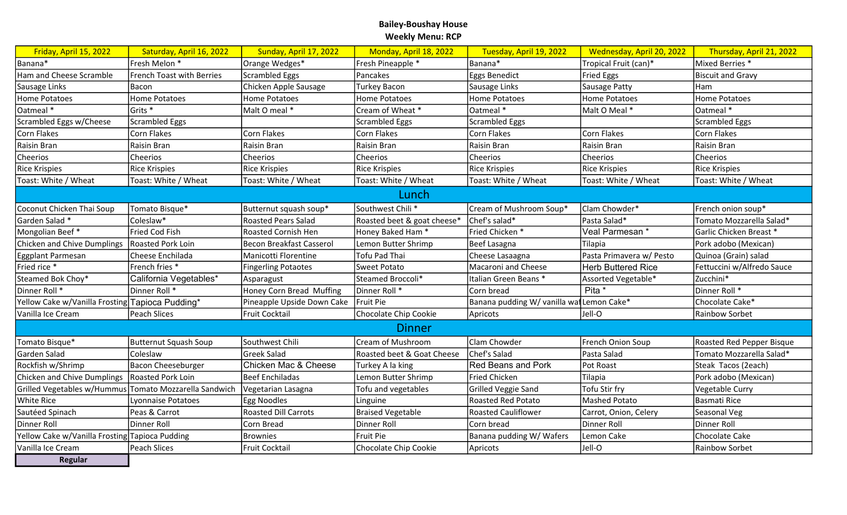| Friday, April 15, 2022                         | Saturday, April 16, 2022         | Sunday, April 17, 2022      | Monday, April 18, 2022      | Tuesday, April 19, 2022                  | Wednesday, April 20, 2022 | Thursday, April 21, 2022   |
|------------------------------------------------|----------------------------------|-----------------------------|-----------------------------|------------------------------------------|---------------------------|----------------------------|
| Banana*                                        | Fresh Melon *                    | Orange Wedges*              | Fresh Pineapple *           | Banana*                                  | Tropical Fruit (can)*     | Mixed Berries *            |
| Ham and Cheese Scramble                        | <b>French Toast with Berries</b> | <b>Scrambled Eggs</b>       | Pancakes                    | Eggs Benedict                            | <b>Fried Eggs</b>         | <b>Biscuit and Gravy</b>   |
| Sausage Links                                  | Bacon                            | Chicken Apple Sausage       | <b>Turkey Bacon</b>         | Sausage Links                            | Sausage Patty             | Ham                        |
| Home Potatoes                                  | Home Potatoes                    | <b>Home Potatoes</b>        | <b>Home Potatoes</b>        | <b>Home Potatoes</b>                     | Home Potatoes             | <b>Home Potatoes</b>       |
| Oatmeal*                                       | Grits <sup>*</sup>               | Malt O meal *               | Cream of Wheat *            | Oatmeal *                                | Malt O Meal *             | Oatmeal *                  |
| Scrambled Eggs w/Cheese                        | Scrambled Eggs                   |                             | <b>Scrambled Eggs</b>       | <b>Scrambled Eggs</b>                    |                           | <b>Scrambled Eggs</b>      |
| Corn Flakes                                    | Corn Flakes                      | Corn Flakes                 | Corn Flakes                 | Corn Flakes                              | Corn Flakes               | Corn Flakes                |
| Raisin Bran                                    | Raisin Bran                      | Raisin Bran                 | Raisin Bran                 | Raisin Bran                              | Raisin Bran               | Raisin Bran                |
| Cheerios                                       | Cheerios                         | Cheerios                    | Cheerios                    | Cheerios                                 | Cheerios                  | Cheerios                   |
| <b>Rice Krispies</b>                           | <b>Rice Krispies</b>             | <b>Rice Krispies</b>        | <b>Rice Krispies</b>        | <b>Rice Krispies</b>                     | <b>Rice Krispies</b>      | <b>Rice Krispies</b>       |
| Toast: White / Wheat                           | Toast: White / Wheat             | Toast: White / Wheat        | Toast: White / Wheat        | Toast: White / Wheat                     | Toast: White / Wheat      | Toast: White / Wheat       |
|                                                |                                  |                             | Lunch                       |                                          |                           |                            |
| Coconut Chicken Thai Soup                      | Tomato Bisque*                   | Butternut squash soup*      | Southwest Chili*            | Cream of Mushroom Soup*                  | Clam Chowder*             | French onion soup*         |
| Garden Salad *                                 | Coleslaw*                        | <b>Roasted Pears Salad</b>  | Roasted beet & goat cheese* | Chef's salad*                            | Pasta Salad*              | Tomato Mozzarella Salad*   |
| Mongolian Beef*                                | Fried Cod Fish                   | Roasted Cornish Hen         | Honey Baked Ham*            | Fried Chicken*                           | Veal Parmesan*            | Garlic Chicken Breast *    |
| Chicken and Chive Dumplings                    | Roasted Pork Loin                | Becon Breakfast Casserol    | Lemon Butter Shrimp         | <b>Beef Lasagna</b>                      | Tilapia                   | Pork adobo (Mexican)       |
| Eggplant Parmesan                              | Cheese Enchilada                 | Manicotti Florentine        | Tofu Pad Thai               | Cheese Lasaagna                          | Pasta Primavera w/ Pesto  | Quinoa (Grain) salad       |
| Fried rice *                                   | French fries *                   | <b>Fingerling Potaotes</b>  | <b>Sweet Potato</b>         | Macaroni and Cheese                      | Herb Buttered Rice        | Fettuccini w/Alfredo Sauce |
| Steamed Bok Choy*                              | California Vegetables*           | Asparagust                  | Steamed Broccoli*           | Italian Green Beans *                    | Assorted Vegetable*       | Zucchini*                  |
| Dinner Roll *                                  | Dinner Roll *                    | Honey Corn Bread Muffing    | Dinner Roll *               | Corn bread                               | Pita *                    | Dinner Roll *              |
| Yellow Cake w/Vanilla Frosting                 | Tapioca Pudding*                 | Pineapple Upside Down Cake  | Fruit Pie                   | Banana pudding W/ vanilla wafLemon Cake* |                           | Chocolate Cake*            |
| Vanilla Ice Cream                              | Peach Slices                     | Fruit Cocktail              | Chocolate Chip Cookie       | Apricots                                 | Jell-O                    | Rainbow Sorbet             |
| <b>Dinner</b>                                  |                                  |                             |                             |                                          |                           |                            |
| Tomato Bisque*                                 | Butternut Squash Soup            | Southwest Chili             | Cream of Mushroom           | Clam Chowder                             | French Onion Soup         | Roasted Red Pepper Bisque  |
| Garden Salad                                   | Coleslaw                         | <b>Greek Salad</b>          | Roasted beet & Goat Cheese  | Chef's Salad                             | Pasta Salad               | Tomato Mozzarella Salad*   |
| Rockfish w/Shrimp                              | Bacon Cheeseburger               | Chicken Mac & Cheese        | Turkey A la king            | <b>Red Beans and Pork</b>                | Pot Roast                 | Steak Tacos (2each)        |
| Chicken and Chive Dumplings                    | Roasted Pork Loin                | <b>Beef Enchiladas</b>      | Lemon Butter Shrimp         | <b>Fried Chicken</b>                     | Tilapia                   | Pork adobo (Mexican)       |
| Grilled Vegetables w/Hummus                    | Tomato Mozzarella Sandwich       | Vegetarian Lasagna          | Tofu and vegetables         | Grilled Veggie Sand                      | Tofu Stir fry             | Vegetable Curry            |
| White Rice                                     | Lyonnaise Potatoes               | Egg Noodles                 | Linguine                    | <b>Roasted Red Potato</b>                | <b>Mashed Potato</b>      | <b>Basmati Rice</b>        |
| Sautéed Spinach                                | Peas & Carrot                    | <b>Roasted Dill Carrots</b> | <b>Braised Vegetable</b>    | <b>Roasted Cauliflower</b>               | Carrot, Onion, Celery     | Seasonal Veg               |
| Dinner Roll                                    | Dinner Roll                      | Corn Bread                  | Dinner Roll                 | Corn bread                               | Dinner Roll               | Dinner Roll                |
| Yellow Cake w/Vanilla Frosting Tapioca Pudding |                                  | <b>Brownies</b>             | Fruit Pie                   | Banana pudding W/ Wafers                 | Lemon Cake                | Chocolate Cake             |
| Vanilla Ice Cream                              | Peach Slices                     | <b>Fruit Cocktail</b>       | Chocolate Chip Cookie       | Apricots                                 | Jell-O                    | Rainbow Sorbet             |
| Regular                                        |                                  |                             |                             |                                          |                           |                            |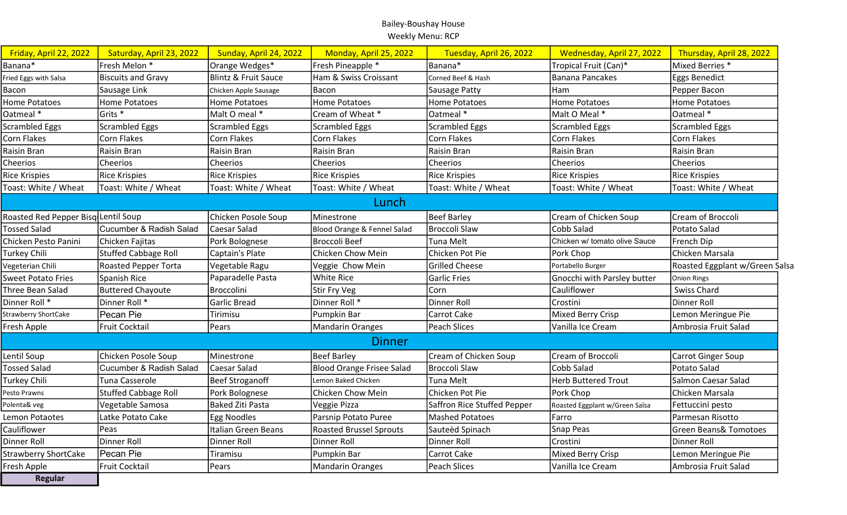| Friday, April 22, 2022              | Saturday, April 23, 2022    | Sunday, April 24, 2022          | Monday, April 25, 2022           | Tuesday, April 26, 2022     | Wednesday, April 27, 2022      | Thursday, April 28, 2022         |
|-------------------------------------|-----------------------------|---------------------------------|----------------------------------|-----------------------------|--------------------------------|----------------------------------|
| Banana*                             | Fresh Melon *               | Orange Wedges*                  | Fresh Pineapple *                | Banana*                     | Tropical Fruit (Can)*          | Mixed Berries *                  |
| Fried Eggs with Salsa               | <b>Biscuits and Gravy</b>   | <b>Blintz &amp; Fruit Sauce</b> | Ham & Swiss Croissant            | Corned Beef & Hash          | <b>Banana Pancakes</b>         | <b>Eggs Benedict</b>             |
| Bacon                               | Sausage Link                | Chicken Apple Sausage           | Bacon                            | Sausage Patty               | Ham                            | Pepper Bacon                     |
| <b>Home Potatoes</b>                | Home Potatoes               | <b>Home Potatoes</b>            | <b>Home Potatoes</b>             | Home Potatoes               | <b>Home Potatoes</b>           | <b>Home Potatoes</b>             |
| Oatmeal *                           | Grits <sup>*</sup>          | Malt O meal *                   | Cream of Wheat *                 | Oatmeal *                   | Malt O Meal *                  | Oatmeal *                        |
| <b>Scrambled Eggs</b>               | Scrambled Eggs              | <b>Scrambled Eggs</b>           | <b>Scrambled Eggs</b>            | <b>Scrambled Eggs</b>       | <b>Scrambled Eggs</b>          | Scrambled Eggs                   |
| Corn Flakes                         | Corn Flakes                 | Corn Flakes                     | <b>Corn Flakes</b>               | Corn Flakes                 | <b>Corn Flakes</b>             | <b>Corn Flakes</b>               |
| Raisin Bran                         | Raisin Bran                 | Raisin Bran                     | Raisin Bran                      | Raisin Bran                 | Raisin Bran                    | Raisin Bran                      |
| Cheerios                            | Cheerios                    | <b>Cheerios</b>                 | Cheerios                         | Cheerios                    | Cheerios                       | Cheerios                         |
| <b>Rice Krispies</b>                | <b>Rice Krispies</b>        | <b>Rice Krispies</b>            | <b>Rice Krispies</b>             | <b>Rice Krispies</b>        | <b>Rice Krispies</b>           | Rice Krispies                    |
| Toast: White / Wheat                | Toast: White / Wheat        | Toast: White / Wheat            | Toast: White / Wheat             | Toast: White / Wheat        | Toast: White / Wheat           | Toast: White / Wheat             |
| Lunch                               |                             |                                 |                                  |                             |                                |                                  |
| Roasted Red Pepper Bisq Lentil Soup |                             | Chicken Posole Soup             | Minestrone                       | <b>Beef Barley</b>          | Cream of Chicken Soup          | Cream of Broccoli                |
| <b>Tossed Salad</b>                 | Cucumber & Radish Salad     | Caesar Salad                    | Blood Orange & Fennel Salad      | Broccoli Slaw               | Cobb Salad                     | Potato Salad                     |
| Chicken Pesto Panini                | Chicken Fajitas             | Pork Bolognese                  | <b>Broccoli Beef</b>             | Tuna Melt                   | Chicken w/ tomato olive Sauce  | French Dip                       |
| Turkey Chili                        | Stuffed Cabbage Roll        | Captain's Plate                 | Chicken Chow Mein                | Chicken Pot Pie             | Pork Chop                      | Chicken Marsala                  |
| Vegeterian Chili                    | <b>Roasted Pepper Torta</b> | Vegetable Ragu                  | Veggie Chow Mein                 | <b>Grilled Cheese</b>       | Portabello Burger              | Roasted Eggplant w/Green Salsa   |
| <b>Sweet Potato Fries</b>           | Spanish Rice                | Paparadelle Pasta               | White Rice                       | <b>Garlic Fries</b>         | Gnocchi with Parsley butter    | Onion Rings                      |
| Three Bean Salad                    | Buttered Chayoute           | Broccolini                      | Stir Fry Veg                     | Corn                        | Cauliflower                    | Swiss Chard                      |
| Dinner Roll *                       | Dinner Roll *               | Garlic Bread                    | Dinner Roll *                    | Dinner Roll                 | Crostini                       | Dinner Roll                      |
| <b>Strawberry ShortCake</b>         | Pecan Pie                   | Tirimisu                        | Pumpkin Bar                      | Carrot Cake                 | <b>Mixed Berry Crisp</b>       | Lemon Meringue Pie               |
| Fresh Apple                         | Fruit Cocktail              | Pears                           | <b>Mandarin Oranges</b>          | <b>Peach Slices</b>         | Vanilla Ice Cream              | Ambrosia Fruit Salad             |
|                                     |                             |                                 | <b>Dinner</b>                    |                             |                                |                                  |
| Lentil Soup                         | Chicken Posole Soup         | Minestrone                      | <b>Beef Barley</b>               | Cream of Chicken Soup       | Cream of Broccoli              | <b>Carrot Ginger Soup</b>        |
| <b>Tossed Salad</b>                 | Cucumber & Radish Salad     | Caesar Salad                    | <b>Blood Orange Frisee Salad</b> | <b>Broccoli Slaw</b>        | Cobb Salad                     | Potato Salad                     |
| Turkey Chili                        | Tuna Casserole              | Beef Stroganoff                 | Lemon Baked Chicken              | Tuna Melt                   | <b>Herb Buttered Trout</b>     | Salmon Caesar Salad              |
| Pesto Prawns                        | <b>Stuffed Cabbage Roll</b> | Pork Bolognese                  | Chicken Chow Mein                | Chicken Pot Pie             | Pork Chop                      | Chicken Marsala                  |
| Polenta& veg                        | Vegetable Samosa            | <b>Baked Ziti Pasta</b>         | Veggie Pizza                     | Saffron Rice Stuffed Pepper | Roasted Eggplant w/Green Salsa | Fettuccini pesto                 |
| Lemon Potaotes                      | Latke Potato Cake           | Egg Noodles                     | Parsnip Potato Puree             | <b>Mashed Potatoes</b>      | Farro                          | Parmesan Risotto                 |
| Cauliflower                         | Peas                        | Italian Green Beans             | <b>Roasted Brussel Sprouts</b>   | Sauteèd Spinach             | Snap Peas                      | <b>Green Beans&amp; Tomotoes</b> |
| Dinner Roll                         | Dinner Roll                 | Dinner Roll                     | Dinner Roll                      | Dinner Roll                 | Crostini                       | Dinner Roll                      |
| <b>Strawberry ShortCake</b>         | Pecan Pie                   | Tiramisu                        | Pumpkin Bar                      | Carrot Cake                 | <b>Mixed Berry Crisp</b>       | Lemon Meringue Pie               |
| Fresh Apple                         | Fruit Cocktail              | Pears                           | <b>Mandarin Oranges</b>          | Peach Slices                | Vanilla Ice Cream              | Ambrosia Fruit Salad             |
| <b>Regular</b>                      |                             |                                 |                                  |                             |                                |                                  |